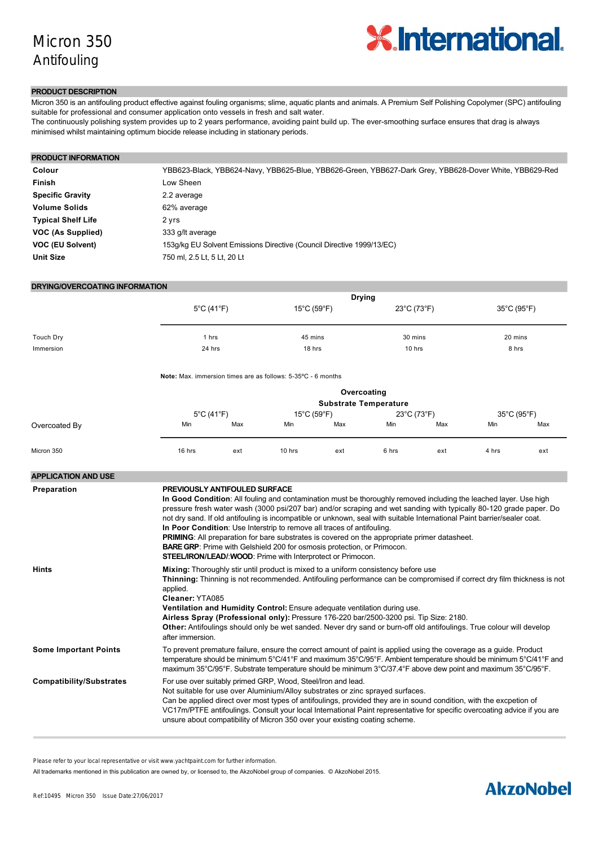

## **PRODUCT DESCRIPTION**

Micron 350 is an antifouling product effective against fouling organisms; slime, aquatic plants and animals. A Premium Self Polishing Copolymer (SPC) antifouling suitable for professional and consumer application onto vessels in fresh and salt water.

The continuously polishing system provides up to 2 years performance, avoiding paint build up. The eversmoothing surface ensures that drag is always minimised whilst maintaining optimum biocide release including in stationary periods.

| <b>PRODUCT INFORMATION</b> |                                                                                                        |
|----------------------------|--------------------------------------------------------------------------------------------------------|
| Colour                     | YBB623-Black, YBB624-Navy, YBB625-Blue, YBB626-Green, YBB627-Dark Grey, YBB628-Dover White, YBB629-Red |
| Finish                     | Low Sheen                                                                                              |
| <b>Specific Gravity</b>    | 2.2 average                                                                                            |
| <b>Volume Solids</b>       | 62% average                                                                                            |
| <b>Typical Shelf Life</b>  | 2 yrs                                                                                                  |
| VOC (As Supplied)          | 333 g/lt average                                                                                       |
| VOC (EU Solvent)           | 153g/kg EU Solvent Emissions Directive (Council Directive 1999/13/EC)                                  |
| <b>Unit Size</b>           | 750 ml, 2.5 Lt, 5 Lt, 20 Lt                                                                            |

## **DRYING/OVERCOATING INFORMATION**

|           | $5^{\circ}$ C (41 $^{\circ}$ F) | <b>Drying</b><br>$15^{\circ}$ C (59 $^{\circ}$ F) | 23°C (73°F) | 35°C (95°F) |
|-----------|---------------------------------|---------------------------------------------------|-------------|-------------|
| Touch Dry | 1 hrs                           | 45 mins                                           | 30 mins     | 20 mins     |
| Immersion | 24 hrs                          | 18 hrs                                            | 10 hrs      | 8 hrs       |

**Note:** Max. immersion times are as follows: 5-35°C - 6 months

|               |                                 |     |                                  | Overcoating<br><b>Substrate Temperature</b> |             |     |             |     |
|---------------|---------------------------------|-----|----------------------------------|---------------------------------------------|-------------|-----|-------------|-----|
|               | $5^{\circ}$ C (41 $^{\circ}$ F) |     | $15^{\circ}$ C (59 $^{\circ}$ F) |                                             | 23°C (73°F) |     | 35°C (95°F) |     |
| Overcoated By | Min                             | Max | Min                              | Max                                         | Min         | Max | Min         | Max |
| Micron 350    | 16 hrs                          | ext | 10 hrs                           | ext                                         | 6 hrs       | ext | 4 hrs       | ext |

| <b>APPLICATION AND USE</b>      |                                                                                                                                                                                                                                                                                                                                                                                                                                                                                                                                                                                                                                                                                                                                         |
|---------------------------------|-----------------------------------------------------------------------------------------------------------------------------------------------------------------------------------------------------------------------------------------------------------------------------------------------------------------------------------------------------------------------------------------------------------------------------------------------------------------------------------------------------------------------------------------------------------------------------------------------------------------------------------------------------------------------------------------------------------------------------------------|
| Preparation                     | PREVIOUSLY ANTIFOULED SURFACE<br>In Good Condition: All fouling and contamination must be thoroughly removed including the leached layer. Use high<br>pressure fresh water wash (3000 psi/207 bar) and/or scraping and wet sanding with typically 80-120 grade paper. Do<br>not dry sand. If old antifouling is incompatible or unknown, seal with suitable International Paint barrier/sealer coat.<br>In Poor Condition: Use Interstrip to remove all traces of antifouling.<br><b>PRIMING:</b> All preparation for bare substrates is covered on the appropriate primer datasheet.<br><b>BARE GRP:</b> Prime with Gelshield 200 for osmosis protection, or Primocon.<br>STEEL/IRON/LEAD/: WOOD: Prime with Interprotect or Primocon. |
| <b>Hints</b>                    | Mixing: Thoroughly stir until product is mixed to a uniform consistency before use<br>Thinning: Thinning is not recommended. Antifouling performance can be compromised if correct dry film thickness is not<br>applied.<br>Cleaner: YTA085<br>Ventilation and Humidity Control: Ensure adequate ventilation during use.<br>Airless Spray (Professional only): Pressure 176-220 bar/2500-3200 psi. Tip Size: 2180.<br>Other: Antifoulings should only be wet sanded. Never dry sand or burn-off old antifoulings. True colour will develop<br>after immersion.                                                                                                                                                                          |
| <b>Some Important Points</b>    | To prevent premature failure, ensure the correct amount of paint is applied using the coverage as a guide. Product<br>temperature should be minimum 5°C/41°F and maximum 35°C/95°F. Ambient temperature should be minimum 5°C/41°F and<br>maximum 35°C/95°F. Substrate temperature should be minimum 3°C/37.4°F above dew point and maximum 35°C/95°F.                                                                                                                                                                                                                                                                                                                                                                                  |
| <b>Compatibility/Substrates</b> | For use over suitably primed GRP, Wood, Steel/Iron and lead.<br>Not suitable for use over Aluminium/Alloy substrates or zinc sprayed surfaces.<br>Can be applied direct over most types of antifoulings, provided they are in sound condition, with the excpetion of<br>VC17m/PTFE antifoulings. Consult your local International Paint representative for specific overcoating advice if you are<br>unsure about compatibility of Micron 350 over your existing coating scheme.                                                                                                                                                                                                                                                        |

Please refer to your local representative or visit www.yachtpaint.com for further information.

**By Spray** (Professional only) All trademarks mentioned in this publication are owned by, or licensed to, the AkzoNobel group of companies. © AkzoNobel 2015.